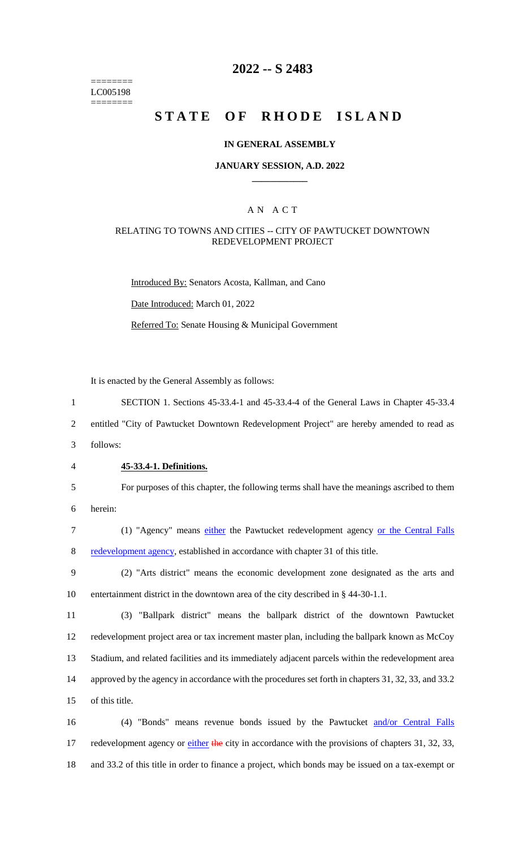======== LC005198 ========

# **2022 -- S 2483**

# **STATE OF RHODE ISLAND**

## **IN GENERAL ASSEMBLY**

## **JANUARY SESSION, A.D. 2022 \_\_\_\_\_\_\_\_\_\_\_\_**

## A N A C T

## RELATING TO TOWNS AND CITIES -- CITY OF PAWTUCKET DOWNTOWN REDEVELOPMENT PROJECT

Introduced By: Senators Acosta, Kallman, and Cano Date Introduced: March 01, 2022

Referred To: Senate Housing & Municipal Government

It is enacted by the General Assembly as follows:

1 SECTION 1. Sections 45-33.4-1 and 45-33.4-4 of the General Laws in Chapter 45-33.4

2 entitled "City of Pawtucket Downtown Redevelopment Project" are hereby amended to read as

3 follows:

4 **45-33.4-1. Definitions.**

5 For purposes of this chapter, the following terms shall have the meanings ascribed to them 6 herein:

- 7 (1) "Agency" means either the Pawtucket redevelopment agency or the Central Falls 8 redevelopment agency, established in accordance with chapter 31 of this title.
- 9 (2) "Arts district" means the economic development zone designated as the arts and 10 entertainment district in the downtown area of the city described in § 44-30-1.1.

 (3) "Ballpark district" means the ballpark district of the downtown Pawtucket redevelopment project area or tax increment master plan, including the ballpark known as McCoy Stadium, and related facilities and its immediately adjacent parcels within the redevelopment area approved by the agency in accordance with the procedures set forth in chapters 31, 32, 33, and 33.2 of this title.

16 (4) "Bonds" means revenue bonds issued by the Pawtucket and/or Central Falls 17 redevelopment agency or either the city in accordance with the provisions of chapters 31, 32, 33, 18 and 33.2 of this title in order to finance a project, which bonds may be issued on a tax-exempt or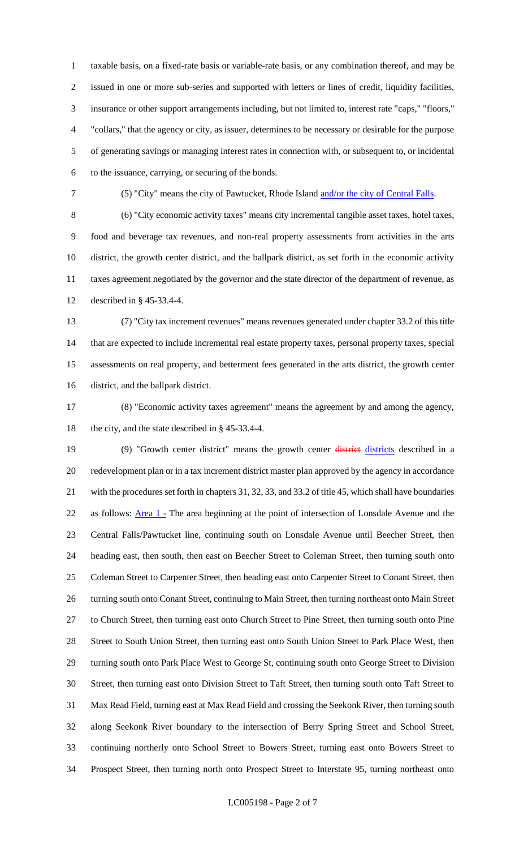taxable basis, on a fixed-rate basis or variable-rate basis, or any combination thereof, and may be issued in one or more sub-series and supported with letters or lines of credit, liquidity facilities, insurance or other support arrangements including, but not limited to, interest rate "caps," "floors," "collars," that the agency or city, as issuer, determines to be necessary or desirable for the purpose of generating savings or managing interest rates in connection with, or subsequent to, or incidental to the issuance, carrying, or securing of the bonds.

7 (5) "City" means the city of Pawtucket, Rhode Island and/or the city of Central Falls.

 (6) "City economic activity taxes" means city incremental tangible asset taxes, hotel taxes, food and beverage tax revenues, and non-real property assessments from activities in the arts district, the growth center district, and the ballpark district, as set forth in the economic activity taxes agreement negotiated by the governor and the state director of the department of revenue, as described in § 45-33.4-4.

 (7) "City tax increment revenues" means revenues generated under chapter 33.2 of this title that are expected to include incremental real estate property taxes, personal property taxes, special assessments on real property, and betterment fees generated in the arts district, the growth center district, and the ballpark district.

 (8) "Economic activity taxes agreement" means the agreement by and among the agency, the city, and the state described in § 45-33.4-4.

19 (9) "Growth center district" means the growth center districts described in a redevelopment plan or in a tax increment district master plan approved by the agency in accordance with the procedures set forth in chapters 31, 32, 33, and 33.2 of title 45, which shall have boundaries 22 as follows: <u>Area 1 -</u> The area beginning at the point of intersection of Lonsdale Avenue and the Central Falls/Pawtucket line, continuing south on Lonsdale Avenue until Beecher Street, then heading east, then south, then east on Beecher Street to Coleman Street, then turning south onto Coleman Street to Carpenter Street, then heading east onto Carpenter Street to Conant Street, then 26 turning south onto Conant Street, continuing to Main Street, then turning northeast onto Main Street to Church Street, then turning east onto Church Street to Pine Street, then turning south onto Pine Street to South Union Street, then turning east onto South Union Street to Park Place West, then turning south onto Park Place West to George St, continuing south onto George Street to Division Street, then turning east onto Division Street to Taft Street, then turning south onto Taft Street to Max Read Field, turning east at Max Read Field and crossing the Seekonk River, then turning south along Seekonk River boundary to the intersection of Berry Spring Street and School Street, continuing northerly onto School Street to Bowers Street, turning east onto Bowers Street to Prospect Street, then turning north onto Prospect Street to Interstate 95, turning northeast onto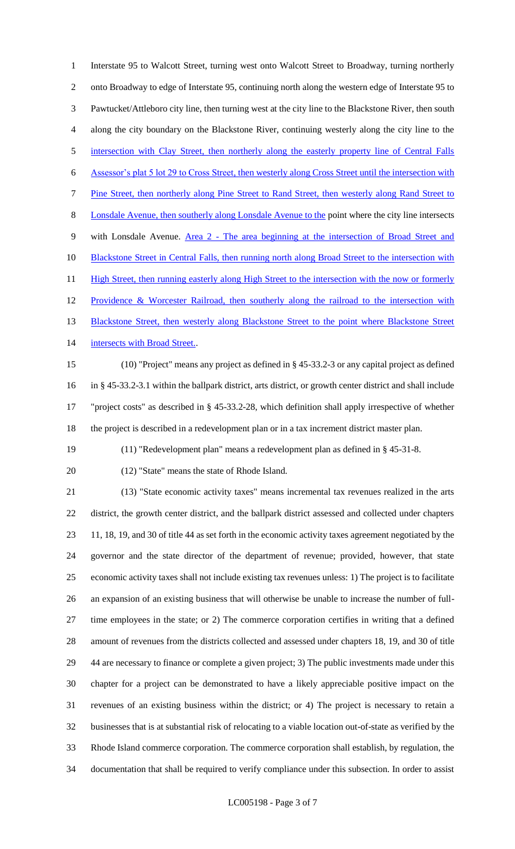Interstate 95 to Walcott Street, turning west onto Walcott Street to Broadway, turning northerly onto Broadway to edge of Interstate 95, continuing north along the western edge of Interstate 95 to Pawtucket/Attleboro city line, then turning west at the city line to the Blackstone River, then south along the city boundary on the Blackstone River, continuing westerly along the city line to the 5 intersection with Clay Street, then northerly along the easterly property line of Central Falls Assessor's plat 5 lot 29 to Cross Street, then westerly along Cross Street until the intersection with Pine Street, then northerly along Pine Street to Rand Street, then westerly along Rand Street to Lonsdale Avenue, then southerly along Lonsdale Avenue to the point where the city line intersects 9 with Lonsdale Avenue. Area 2 - The area beginning at the intersection of Broad Street and 10 Blackstone Street in Central Falls, then running north along Broad Street to the intersection with 11 High Street, then running easterly along High Street to the intersection with the now or formerly 12 Providence & Worcester Railroad, then southerly along the railroad to the intersection with 13 Blackstone Street, then westerly along Blackstone Street to the point where Blackstone Street 14 intersects with Broad Street..

 (10) "Project" means any project as defined in § 45-33.2-3 or any capital project as defined in § 45-33.2-3.1 within the ballpark district, arts district, or growth center district and shall include "project costs" as described in § 45-33.2-28, which definition shall apply irrespective of whether the project is described in a redevelopment plan or in a tax increment district master plan.

- (11) "Redevelopment plan" means a redevelopment plan as defined in § 45-31-8.
- 

(12) "State" means the state of Rhode Island.

 (13) "State economic activity taxes" means incremental tax revenues realized in the arts district, the growth center district, and the ballpark district assessed and collected under chapters 11, 18, 19, and 30 of title 44 as set forth in the economic activity taxes agreement negotiated by the governor and the state director of the department of revenue; provided, however, that state economic activity taxes shall not include existing tax revenues unless: 1) The project is to facilitate an expansion of an existing business that will otherwise be unable to increase the number of full- time employees in the state; or 2) The commerce corporation certifies in writing that a defined amount of revenues from the districts collected and assessed under chapters 18, 19, and 30 of title 44 are necessary to finance or complete a given project; 3) The public investments made under this chapter for a project can be demonstrated to have a likely appreciable positive impact on the revenues of an existing business within the district; or 4) The project is necessary to retain a businesses that is at substantial risk of relocating to a viable location out-of-state as verified by the Rhode Island commerce corporation. The commerce corporation shall establish, by regulation, the documentation that shall be required to verify compliance under this subsection. In order to assist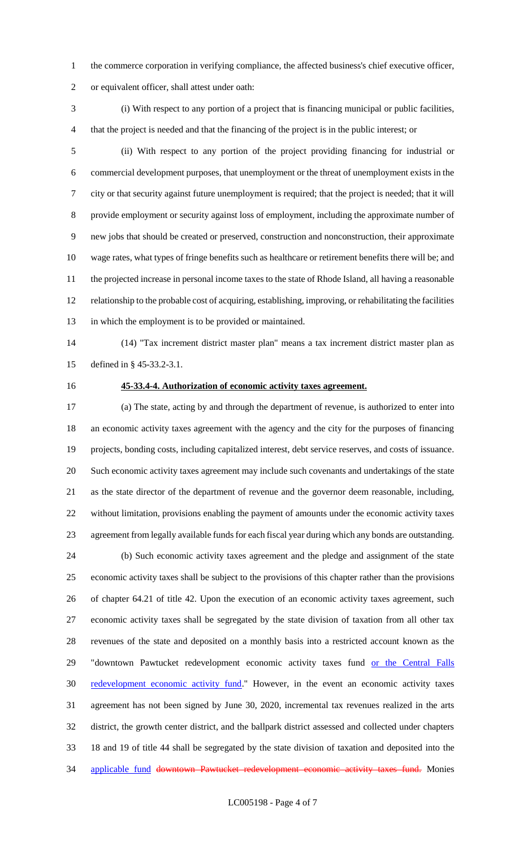- the commerce corporation in verifying compliance, the affected business's chief executive officer,
- or equivalent officer, shall attest under oath:
- (i) With respect to any portion of a project that is financing municipal or public facilities, that the project is needed and that the financing of the project is in the public interest; or

 (ii) With respect to any portion of the project providing financing for industrial or commercial development purposes, that unemployment or the threat of unemployment exists in the city or that security against future unemployment is required; that the project is needed; that it will provide employment or security against loss of employment, including the approximate number of new jobs that should be created or preserved, construction and nonconstruction, their approximate wage rates, what types of fringe benefits such as healthcare or retirement benefits there will be; and the projected increase in personal income taxes to the state of Rhode Island, all having a reasonable relationship to the probable cost of acquiring, establishing, improving, or rehabilitating the facilities in which the employment is to be provided or maintained.

 (14) "Tax increment district master plan" means a tax increment district master plan as defined in § 45-33.2-3.1.

## **45-33.4-4. Authorization of economic activity taxes agreement.**

 (a) The state, acting by and through the department of revenue, is authorized to enter into an economic activity taxes agreement with the agency and the city for the purposes of financing projects, bonding costs, including capitalized interest, debt service reserves, and costs of issuance. Such economic activity taxes agreement may include such covenants and undertakings of the state as the state director of the department of revenue and the governor deem reasonable, including, without limitation, provisions enabling the payment of amounts under the economic activity taxes agreement from legally available funds for each fiscal year during which any bonds are outstanding. (b) Such economic activity taxes agreement and the pledge and assignment of the state

 economic activity taxes shall be subject to the provisions of this chapter rather than the provisions of chapter 64.21 of title 42. Upon the execution of an economic activity taxes agreement, such economic activity taxes shall be segregated by the state division of taxation from all other tax revenues of the state and deposited on a monthly basis into a restricted account known as the 29 "downtown Pawtucket redevelopment economic activity taxes fund or the Central Falls 30 redevelopment economic activity fund." However, in the event an economic activity taxes agreement has not been signed by June 30, 2020, incremental tax revenues realized in the arts district, the growth center district, and the ballpark district assessed and collected under chapters 18 and 19 of title 44 shall be segregated by the state division of taxation and deposited into the 34 applicable fund downtown Pawtucket redevelopment economic activity taxes fund. Monies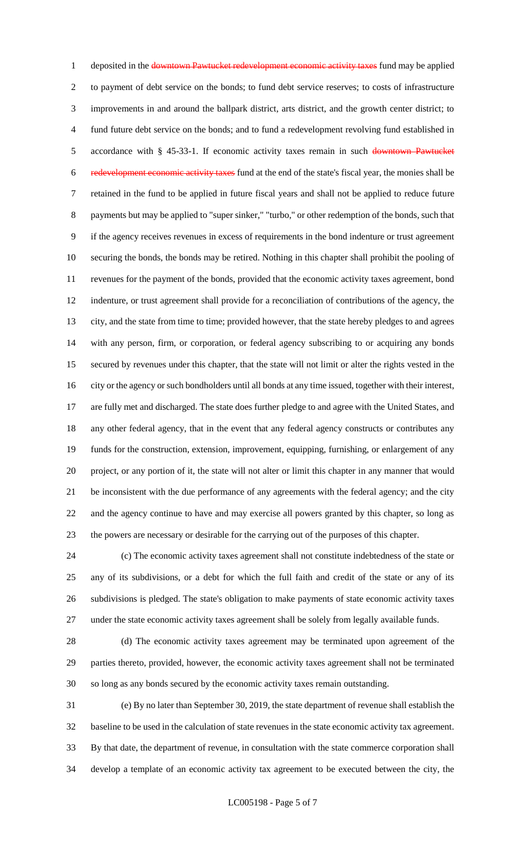1 deposited in the downtown Pawtucket redevelopment economic activity taxes fund may be applied to payment of debt service on the bonds; to fund debt service reserves; to costs of infrastructure improvements in and around the ballpark district, arts district, and the growth center district; to fund future debt service on the bonds; and to fund a redevelopment revolving fund established in 5 accordance with § 45-33-1. If economic activity taxes remain in such downtown Pawtucket redevelopment economic activity taxes fund at the end of the state's fiscal year, the monies shall be retained in the fund to be applied in future fiscal years and shall not be applied to reduce future 8 payments but may be applied to "super sinker," "turbo," or other redemption of the bonds, such that if the agency receives revenues in excess of requirements in the bond indenture or trust agreement securing the bonds, the bonds may be retired. Nothing in this chapter shall prohibit the pooling of revenues for the payment of the bonds, provided that the economic activity taxes agreement, bond indenture, or trust agreement shall provide for a reconciliation of contributions of the agency, the city, and the state from time to time; provided however, that the state hereby pledges to and agrees with any person, firm, or corporation, or federal agency subscribing to or acquiring any bonds secured by revenues under this chapter, that the state will not limit or alter the rights vested in the city or the agency or such bondholders until all bonds at any time issued, together with their interest, are fully met and discharged. The state does further pledge to and agree with the United States, and any other federal agency, that in the event that any federal agency constructs or contributes any funds for the construction, extension, improvement, equipping, furnishing, or enlargement of any project, or any portion of it, the state will not alter or limit this chapter in any manner that would be inconsistent with the due performance of any agreements with the federal agency; and the city and the agency continue to have and may exercise all powers granted by this chapter, so long as the powers are necessary or desirable for the carrying out of the purposes of this chapter.

 (c) The economic activity taxes agreement shall not constitute indebtedness of the state or any of its subdivisions, or a debt for which the full faith and credit of the state or any of its subdivisions is pledged. The state's obligation to make payments of state economic activity taxes under the state economic activity taxes agreement shall be solely from legally available funds.

 (d) The economic activity taxes agreement may be terminated upon agreement of the parties thereto, provided, however, the economic activity taxes agreement shall not be terminated so long as any bonds secured by the economic activity taxes remain outstanding.

 (e) By no later than September 30, 2019, the state department of revenue shall establish the baseline to be used in the calculation of state revenues in the state economic activity tax agreement. By that date, the department of revenue, in consultation with the state commerce corporation shall develop a template of an economic activity tax agreement to be executed between the city, the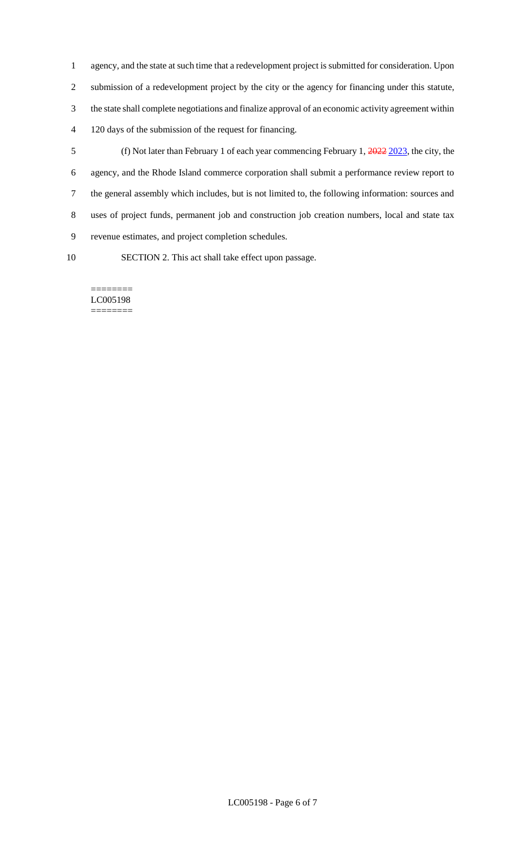agency, and the state at such time that a redevelopment project is submitted for consideration. Upon submission of a redevelopment project by the city or the agency for financing under this statute, the state shall complete negotiations and finalize approval of an economic activity agreement within 120 days of the submission of the request for financing.

- (f) Not later than February 1 of each year commencing February 1, 2022 2023, the city, the agency, and the Rhode Island commerce corporation shall submit a performance review report to the general assembly which includes, but is not limited to, the following information: sources and uses of project funds, permanent job and construction job creation numbers, local and state tax revenue estimates, and project completion schedules.
- 

SECTION 2. This act shall take effect upon passage.

======== LC005198 ========